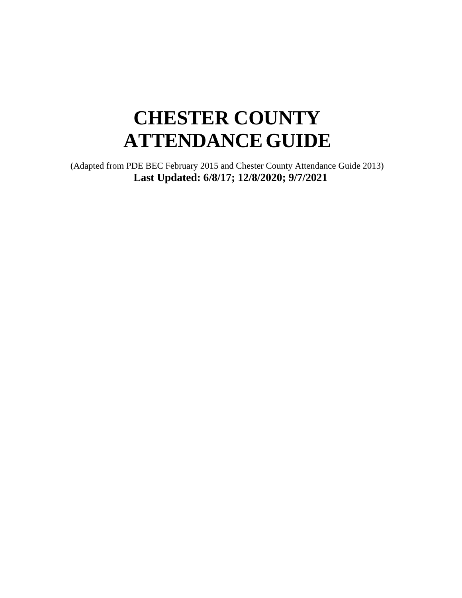# **CHESTER COUNTY ATTENDANCEGUIDE**

(Adapted from PDE BEC February 2015 and Chester County Attendance Guide 2013) **Last Updated: 6/8/17; 12/8/2020; 9/7/2021**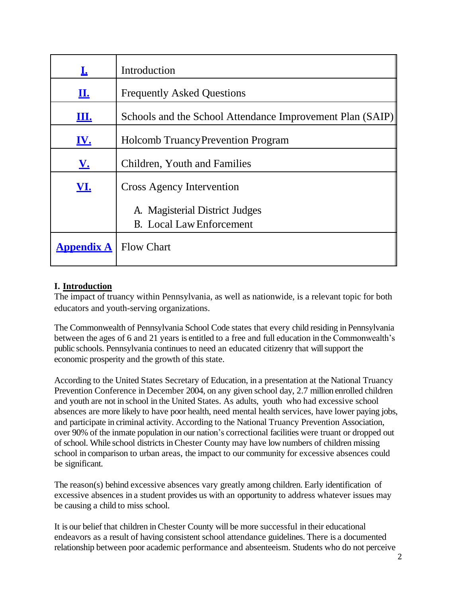|                                | Introduction                                              |
|--------------------------------|-----------------------------------------------------------|
| <u>п.</u>                      | <b>Frequently Asked Questions</b>                         |
| <u>Щ.</u>                      | Schools and the School Attendance Improvement Plan (SAIP) |
| <u>IV.</u>                     | <b>Holcomb Truancy Prevention Program</b>                 |
| <u>V.</u>                      | Children, Youth and Families                              |
| <b>VI.</b>                     | <b>Cross Agency Intervention</b>                          |
|                                | A. Magisterial District Judges                            |
|                                | <b>B.</b> Local Law Enforcement                           |
| <b>Appendix A</b>   Flow Chart |                                                           |

## <span id="page-1-0"></span>**I. Introduction**

The impact of truancy within Pennsylvania, as well as nationwide, is a relevant topic for both educators and youth-serving organizations.

The Commonwealth of Pennsylvania School Code states that every child residing in Pennsylvania between the ages of 6 and 21 years is entitled to a free and full education in the Commonwealth's public schools. Pennsylvania continues to need an educated citizenry that will support the economic prosperity and the growth of this state.

According to the United States Secretary of Education, in a presentation at the National Truancy Prevention Conference in December 2004, on any given school day, 2.7 million enrolled children and youth are not in school in the United States. As adults, youth who had excessive school absences are more likely to have poor health, need mental health services, have lower paying jobs, and participate in criminal activity. According to the National Truancy Prevention Association, over 90% of the inmate population in our nation's correctional facilities were truant or dropped out of school. While school districts in Chester County may have low numbers of children missing school in comparison to urban areas, the impact to our community for excessive absences could be significant.

The reason(s) behind excessive absences vary greatly among children. Early identification of excessive absences in a student provides us with an opportunity to address whatever issues may be causing a child to miss school.

It is our belief that children in Chester County will be more successful in their educational endeavors as a result of having consistent school attendance guidelines. There is a documented relationship between poor academic performance and absenteeism. Students who do not perceive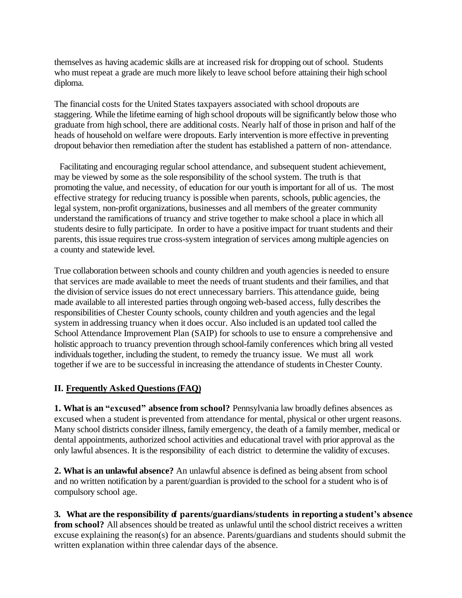themselves as having academic skills are at increased risk for dropping out of school. Students who must repeat a grade are much more likely to leave school before attaining their high school diploma.

The financial costs for the United States taxpayers associated with school dropouts are staggering. While the lifetime earning of high school dropouts will be significantly below those who graduate from high school, there are additional costs. Nearly half of those in prison and half of the heads of household on welfare were dropouts. Early intervention is more effective in preventing dropout behavior then remediation after the student has established a pattern of non- attendance.

Facilitating and encouraging regular school attendance, and subsequent student achievement, may be viewed by some as the sole responsibility of the school system. The truth is that promoting the value, and necessity, of education for our youth is important for all of us. The most effective strategy for reducing truancy is possible when parents, schools, public agencies, the legal system, non-profit organizations, businesses and all members of the greater community understand the ramifications of truancy and strive together to make school a place in which all students desire to fully participate. In order to have a positive impact for truant students and their parents, this issue requires true cross-system integration of services among multiple agencies on a county and statewide level.

True collaboration between schools and county children and youth agencies is needed to ensure that services are made available to meet the needs of truant students and their families, and that the division of service issues do not erect unnecessary barriers. This attendance guide, being made available to all interested parties through ongoing web-based access, fully describes the responsibilities of Chester County schools, county children and youth agencies and the legal system in addressing truancy when it does occur. Also included is an updated tool called the School Attendance Improvement Plan (SAIP) for schools to use to ensure a comprehensive and holistic approach to truancy prevention through school-family conferences which bring all vested individuals together, including the student, to remedy the truancy issue. We must all work together if we are to be successful in increasing the attendance of students inChester County.

## <span id="page-2-0"></span>**II. Frequently Asked Questions (FAQ)**

**1. What is an "excused" absence from school?** Pennsylvania law broadly defines absences as excused when a student is prevented from attendance for mental, physical or other urgent reasons. Many school districts consider illness, family emergency, the death of a family member, medical or dental appointments, authorized school activities and educational travel with prior approval as the only lawful absences. It is the responsibility of each district to determine the validity of excuses.

**2. What is an unlawful absence?** An unlawful absence is defined as being absent from school and no written notification by a parent/guardian is provided to the school for a student who is of compulsory school age.

**3. What are the responsibility of parents/guardians/students in reporting a student's absence from school?** All absences should be treated as unlawful until the school district receives a written excuse explaining the reason(s) for an absence. Parents/guardians and students should submit the written explanation within three calendar days of the absence.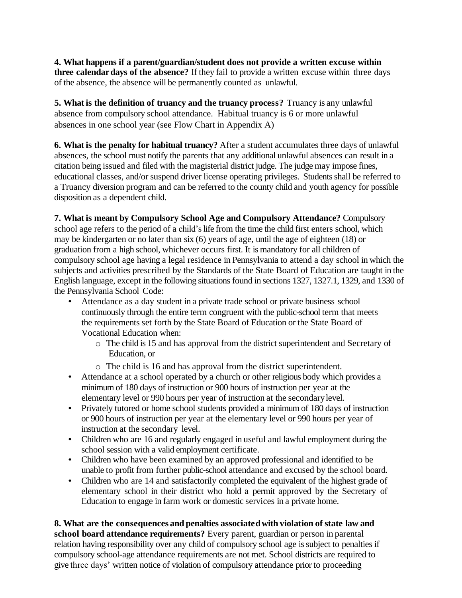**4. What happens if a parent/guardian/student does not provide a written excuse within three calendar days of the absence?** If they fail to provide a written excuse within three days of the absence, the absence will be permanently counted as unlawful.

**5. What is the definition of truancy and the truancy process?** Truancy is any unlawful absence from compulsory school attendance. Habitual truancy is 6 or more unlawful absences in one school year (see Flow Chart in Appendix A)

**6. What is the penalty for habitual truancy?** After a student accumulates three days of unlawful absences, the school must notify the parents that any additional unlawful absences can result in a citation being issued and filed with the magisterial district judge. The judge may impose fines, educational classes, and/or suspend driver license operating privileges. Students shall be referred to a Truancy diversion program and can be referred to the county child and youth agency for possible disposition as a dependent child.

#### **7. What is meant by Compulsory School Age and Compulsory Attendance?** Compulsory

school age refers to the period of a child's life from the time the child first enters school, which may be kindergarten or no later than six (6) years of age, until the age of eighteen (18) or graduation from a high school, whichever occurs first. It is mandatory for all children of compulsory school age having a legal residence in Pennsylvania to attend a day school in which the subjects and activities prescribed by the Standards of the State Board of Education are taught in the English language, except in the following situations found in sections 1327, 1327.1, 1329, and 1330 of the Pennsylvania School Code:

- Attendance as a day student in a private trade school or private business school continuously through the entire term congruent with the public-school term that meets the requirements set forth by the State Board of Education or the State Board of Vocational Education when:
	- o The child is 15 and has approval from the district superintendent and Secretary of Education, or
	- o The child is 16 and has approval from the district superintendent.
- Attendance at a school operated by a church or other religious body which provides a minimum of 180 days of instruction or 900 hours of instruction per year at the elementary level or 990 hours per year of instruction at the secondarylevel.
- Privately tutored or home school students provided a minimum of 180 days of instruction or 900 hours of instruction per year at the elementary level or 990 hours per year of instruction at the secondary level.
- Children who are 16 and regularly engaged in useful and lawful employment during the school session with a valid employment certificate.
- Children who have been examined by an approved professional and identified to be unable to profit from further public-school attendance and excused by the school board.
- Children who are 14 and satisfactorily completed the equivalent of the highest grade of elementary school in their district who hold a permit approved by the Secretary of Education to engage in farm work or domestic services in a private home.

**8. What are the consequences and penalties associatedwith violation of state law and school board attendance requirements?** Every parent, guardian or person in parental relation having responsibility over any child of compulsory school age is subject to penalties if compulsory school-age attendance requirements are not met. School districts are required to give three days' written notice of violation of compulsory attendance prior to proceeding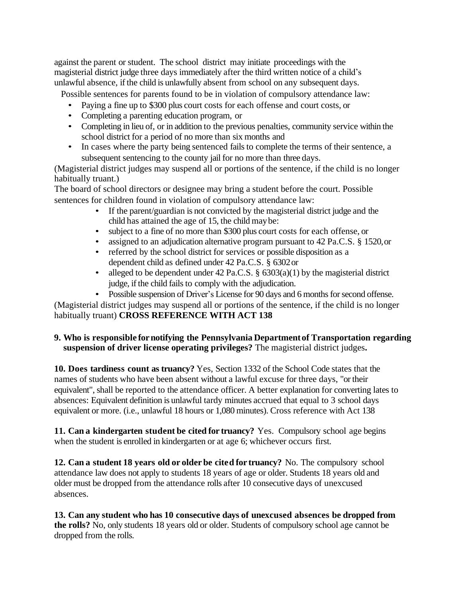against the parent or student. The school district may initiate proceedings with the magisterial district judge three days immediately after the third written notice of a child's unlawful absence, if the child is unlawfully absent from school on any subsequent days.

Possible sentences for parents found to be in violation of compulsory attendance law:

- Paying a fine up to \$300 plus court costs for each offense and court costs, or
- Completing a parenting education program, or
- Completing in lieu of, or in addition to the previous penalties, community service within the school district for a period of no more than six months and
- In cases where the party being sentenced fails to complete the terms of their sentence, a subsequent sentencing to the county jail for no more than three days.

(Magisterial district judges may suspend all or portions of the sentence, if the child is no longer habitually truant.)

The board of school directors or designee may bring a student before the court. Possible sentences for children found in violation of compulsory attendance law:

- If the parent/guardian is not convicted by the magisterial district judge and the child has attained the age of 15, the child maybe:
- subject to a fine of no more than \$300 plus court costs for each offense, or
- assigned to an adjudication alternative program pursuant to 42 Pa.C.S. § 1520, or
- referred by the school district for services or possible disposition as a dependent child as defined under 42 Pa.C.S. § 6302or
- alleged to be dependent under 42 Pa.C.S.  $\S$  6303(a)(1) by the magisterial district judge, if the child fails to comply with the adjudication.
- Possible suspension of Driver's License for 90 days and 6 months for second offense.

(Magisterial district judges may suspend all or portions of the sentence, if the child is no longer habitually truant) **CROSS REFERENCE WITH ACT 138**

#### **9. Who is responsible fornotifying the Pennsylvania Departmentof Transportation regarding suspension of driver license operating privileges?** The magisterial district judges**.**

**10. Does tardiness count as truancy?** Yes, Section 1332 of the School Code states that the names of students who have been absent without a lawful excuse for three days, "or their equivalent", shall be reported to the attendance officer. A better explanation for converting lates to absences: Equivalent definition is unlawful tardy minutes accrued that equal to 3 school days equivalent or more. (i.e., unlawful 18 hours or 1,080 minutes). Cross reference with Act 138

**11. Can a kindergarten student be cited for truancy?** Yes. Compulsory school age begins when the student is enrolled in kindergarten or at age 6; whichever occurs first.

**12. Can a student 18 years old or older be cited for truancy?** No. The compulsory school attendance law does not apply to students 18 years of age or older. Students 18 years old and older must be dropped from the attendance rolls after 10 consecutive days of unexcused absences.

**13. Can any student who has 10 consecutive days of unexcused absences be dropped from the rolls?** No, only students 18 years old or older. Students of compulsory school age cannot be dropped from the rolls.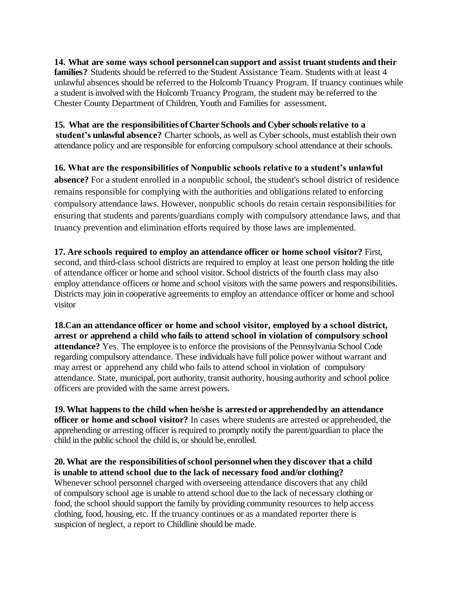**14. What are some ways school personnel can support and assist truantstudents and their families?** Students should be referred to the Student Assistance Team. Students with at least 4 unlawful absences should be referred to the Holcomb Truancy Program. If truancy continues while a student is involved with the Holcomb Truancy Program, the student may be referred to the Chester County Department of Children, Youth and Families for assessment.

**15. What are the responsibilities of Charter Schools and Cyber schools relative to a student's unlawful absence?** Charter schools, as well as Cyber schools, must establish their own attendance policy and are responsible for enforcing compulsory school attendance at their schools.

**16. What are the responsibilities of Nonpublic schools relative to a student's unlawful absence?** For a student enrolled in a nonpublic school, the student's school district of residence remains responsible for complying with the authorities and obligations related to enforcing compulsory attendance laws. However, nonpublic schools do retain certain responsibilities for ensuring that students and parents/guardians comply with compulsory attendance laws, and that truancy prevention and elimination efforts required by those laws are implemented.

**17. Are schools required to employ an attendance officer or home school visitor?** First, second, and third-class school districts are required to employ at least one person holding the title of attendance officer or home and school visitor. School districts of the fourth class may also employ attendance officers or home and school visitors with the same powers and responsibilities. Districts may join in cooperative agreements to employ an attendance officer or home and school visitor

**18.Can an attendance officer or home and school visitor, employed by a school district, arrest or apprehend a child who fails to attend school in violation of compulsory school attendance?** Yes. The employee is to enforce the provisions of the Pennsylvania School Code regarding compulsory attendance. These individuals have full police power without warrant and may arrest or apprehend any child who fails to attend school in violation of compulsory attendance. State, municipal, port authority, transit authority, housing authority and school police officers are provided with the same arrest powers.

**19. What happensto the child when he/she is arrested or apprehendedby an attendance officer or home and school visitor?** In cases where students are arrested or apprehended, the apprehending or arresting officer is required to promptly notify the parent/guardian to place the child in the public school the child is, or should be, enrolled.

**20. What are the responsibilities ofschool personnelwhen they discover that a child is unable to attend school due to the lack of necessary food and/or clothing?**  Whenever school personnel charged with overseeing attendance discovers that any child of compulsory school age is unable to attend school due to the lack of necessary clothing or food, the school should support the family by providing community resources to help access clothing, food, housing, etc. If the truancy continues or as a mandated reporter there is suspicion of neglect, a report to Childline should be made.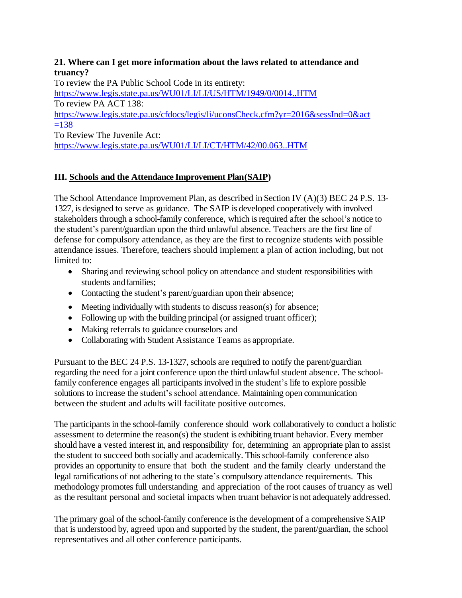## **21. Where can I get more information about the laws related to attendance and truancy?**

To review the PA Public School Code in its entirety:

<https://www.legis.state.pa.us/WU01/LI/LI/US/HTM/1949/0/0014..HTM> To review PA ACT 138: [https://www.legis.state.pa.us/cfdocs/legis/li/uconsCheck.cfm?yr=2016&sessInd=0&act](https://www.legis.state.pa.us/cfdocs/legis/li/uconsCheck.cfm?yr=2016&sessInd=0&act=138)  $=138$ To Review The Juvenile Act:

<https://www.legis.state.pa.us/WU01/LI/LI/CT/HTM/42/00.063..HTM>

## <span id="page-6-0"></span>**III. Schools and the Attendance Improvement Plan(SAIP)**

The School Attendance Improvement Plan, as described in Section IV (A)(3) BEC 24 P.S. 13- 1327, is designed to serve as guidance. The SAIP is developed cooperatively with involved stakeholders through a school-family conference, which is required after the school's notice to the student's parent/guardian upon the third unlawful absence. Teachers are the first line of defense for compulsory attendance, as they are the first to recognize students with possible attendance issues. Therefore, teachers should implement a plan of action including, but not limited to:

- Sharing and reviewing school policy on attendance and student responsibilities with students andfamilies;
- Contacting the student's parent/guardian upon their absence;
- Meeting individually with students to discuss reason(s) for absence;
- Following up with the building principal (or assigned truant officer);
- Making referrals to guidance counselors and
- Collaborating with Student Assistance Teams as appropriate.

Pursuant to the BEC 24 P.S. 13-1327, schools are required to notify the parent/guardian regarding the need for a joint conference upon the third unlawful student absence. The schoolfamily conference engages all participants involved in the student's life to explore possible solutions to increase the student's school attendance. Maintaining open communication between the student and adults will facilitate positive outcomes.

The participants in the school-family conference should work collaboratively to conduct a holistic assessment to determine the reason(s) the student is exhibiting truant behavior. Every member should have a vested interest in, and responsibility for, determining an appropriate plan to assist the student to succeed both socially and academically. This school-family conference also provides an opportunity to ensure that both the student and the family clearly understand the legal ramifications of not adhering to the state's compulsory attendance requirements. This methodology promotes full understanding and appreciation of the root causes of truancy as well as the resultant personal and societal impacts when truant behavior is not adequately addressed.

The primary goal of the school-family conference is the development of a comprehensive SAIP that is understood by, agreed upon and supported by the student, the parent/guardian, the school representatives and all other conference participants.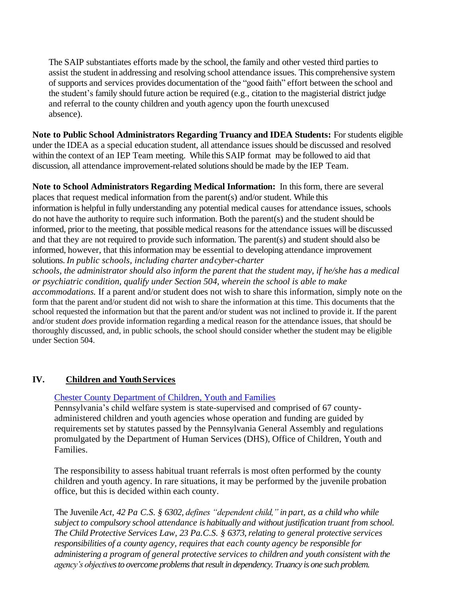The SAIP substantiates efforts made by the school, the family and other vested third parties to assist the student in addressing and resolving school attendance issues. This comprehensive system of supports and services provides documentation of the "good faith" effort between the school and the student's family should future action be required (e.g., citation to the magisterial district judge and referral to the county children and youth agency upon the fourth unexcused absence).

**Note to Public School Administrators Regarding Truancy and IDEA Students:** For students eligible under the IDEA as a special education student, all attendance issues should be discussed and resolved within the context of an IEP Team meeting. While this SAIP format may be followed to aid that discussion, all attendance improvement-related solutions should be made by the IEP Team.

**Note to School Administrators Regarding Medical Information:** In this form, there are several places that request medical information from the parent(s) and/or student. While this information is helpful in fully understanding any potential medical causes for attendance issues, schools do not have the authority to require such information. Both the parent(s) and the student should be informed, prior to the meeting, that possible medical reasons for the attendance issues will be discussed and that they are not required to provide such information. The parent(s) and student should also be informed, however, that this information may be essential to developing attendance improvement solutions. *In public schools, including charter andcyber-charter*

*schools, the administrator should also inform the parent that the student may, if he/she has a medical or psychiatric condition, qualify under Section 504, wherein the school is able to make* 

*accommodations.* If a parent and/or student does not wish to share this information, simply note on the form that the parent and/or student did not wish to share the information at this time. This documents that the school requested the information but that the parent and/or student was not inclined to provide it. If the parent and/or student *does* provide information regarding a medical reason for the attendance issues, that should be thoroughly discussed, and, in public schools, the school should consider whether the student may be eligible under Section 504.

## **IV. Children and YouthServices**

#### [Chester County Department of Children, Youth and Families](http://chesco.org/201/Children-Youth-Families)

Pennsylvania's child welfare system is state-supervised and comprised of 67 countyadministered children and youth agencies whose operation and funding are guided by requirements set by statutes passed by the Pennsylvania General Assembly and regulations promulgated by the Department of Human Services (DHS), Office of Children, Youth and Families.

The responsibility to assess habitual truant referrals is most often performed by the county children and youth agency. In rare situations, it may be performed by the juvenile probation office, but this is decided within each county.

The Juvenile *Act, 42 Pa C.S. § 6302, defines "dependent child," in part, as a child who while subject to compulsory school attendance is habitually and without justification truant from school. The Child Protective Services Law, 23 Pa.C.S. § 6373, relating to general protective services responsibilities of a county agency, requires that each county agency be responsible for administering a program of general protective services to children and youth consistent with the agency's objectives to overcome problems that result in dependency. Truancy is one such problem.*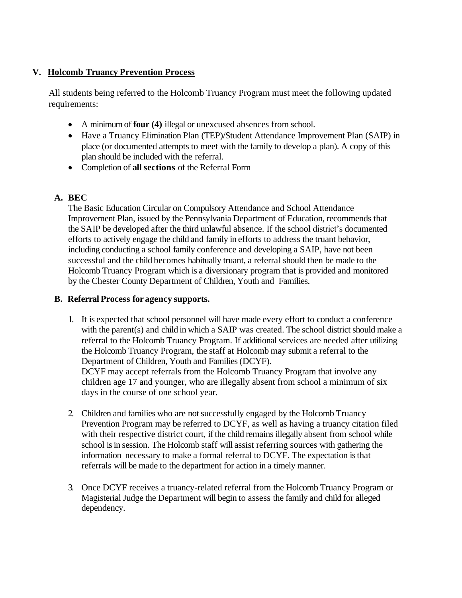## <span id="page-8-0"></span>**V. Holcomb Truancy Prevention Process**

All students being referred to the Holcomb Truancy Program must meet the following updated requirements:

- A minimum of **four (4)** illegal or unexcused absences from school.
- Have a Truancy Elimination Plan (TEP)/Student Attendance Improvement Plan (SAIP) in place (or documented attempts to meet with the family to develop a plan). A copy of this plan should be included with the referral.
- Completion of **all sections** of the Referral Form

## <span id="page-8-1"></span>**A. BEC**

The Basic Education Circular on Compulsory Attendance and School Attendance Improvement Plan, issued by the Pennsylvania Department of Education, recommends that the SAIP be developed after the third unlawful absence. If the school district's documented efforts to actively engage the child and family in efforts to address the truant behavior, including conducting a school family conference and developing a SAIP, have not been successful and the child becomes habitually truant, a referral should then be made to the Holcomb Truancy Program which is a diversionary program that is provided and monitored by the Chester County Department of Children, Youth and Families.

## **B. Referral Process for agency supports.**

- 1. It is expected that school personnel will have made every effort to conduct a conference with the parent(s) and child in which a SAIP was created. The school district should make a referral to the Holcomb Truancy Program. If additional services are needed after utilizing the Holcomb Truancy Program, the staff at Holcomb may submit a referral to the Department of Children, Youth and Families (DCYF). DCYF may accept referrals from the Holcomb Truancy Program that involve any children age 17 and younger, who are illegally absent from school a minimum of six days in the course of one school year.
- 2. Children and families who are not successfully engaged by the Holcomb Truancy Prevention Program may be referred to DCYF, as well as having a truancy citation filed with their respective district court, if the child remains illegally absent from school while school is in session. The Holcomb staff will assist referring sources with gathering the information necessary to make a formal referral to DCYF. The expectation is that referrals will be made to the department for action in a timely manner.
- 3. Once DCYF receives a truancy-related referral from the Holcomb Truancy Program or Magisterial Judge the Department will begin to assess the family and child for alleged dependency.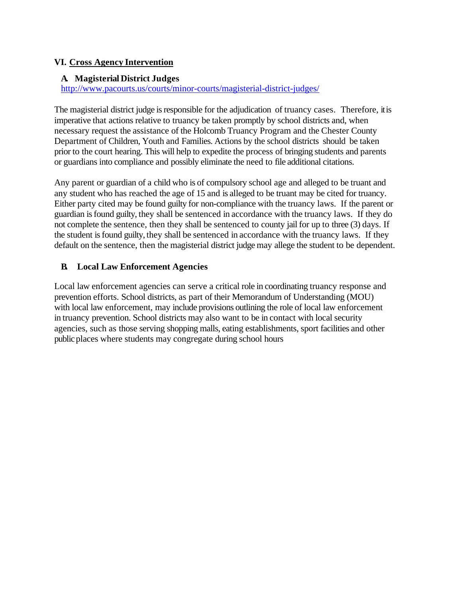## <span id="page-9-0"></span>**VI. Cross Agency Intervention**

## **A. Magisterial District Judges**

<http://www.pacourts.us/courts/minor-courts/magisterial-district-judges/>

The magisterial district judge is responsible for the adjudication of truancy cases. Therefore, it is imperative that actions relative to truancy be taken promptly by school districts and, when necessary request the assistance of the Holcomb Truancy Program and the Chester County Department of Children, Youth and Families. Actions by the school districts should be taken prior to the court hearing. This will help to expedite the process of bringing students and parents or guardians into compliance and possibly eliminate the need to file additional citations.

Any parent or guardian of a child who is of compulsory school age and alleged to be truant and any student who has reached the age of 15 and is alleged to be truant may be cited for truancy. Either party cited may be found guilty for non-compliance with the truancy laws. If the parent or guardian is found guilty, they shall be sentenced in accordance with the truancy laws. If they do not complete the sentence, then they shall be sentenced to county jail for up to three (3) days. If the student is found guilty, they shall be sentenced in accordance with the truancy laws. If they default on the sentence, then the magisterial district judge may allege the student to be dependent.

## **B. Local Law Enforcement Agencies**

<span id="page-9-1"></span>Local law enforcement agencies can serve a critical role in coordinating truancy response and prevention efforts. School districts, as part of their Memorandum of Understanding (MOU) with local law enforcement, may include provisions outlining the role of local law enforcement in truancy prevention. School districts may also want to be in contact with local security agencies, such as those serving shopping malls, eating establishments, sport facilities and other public places where students may congregate during school hours